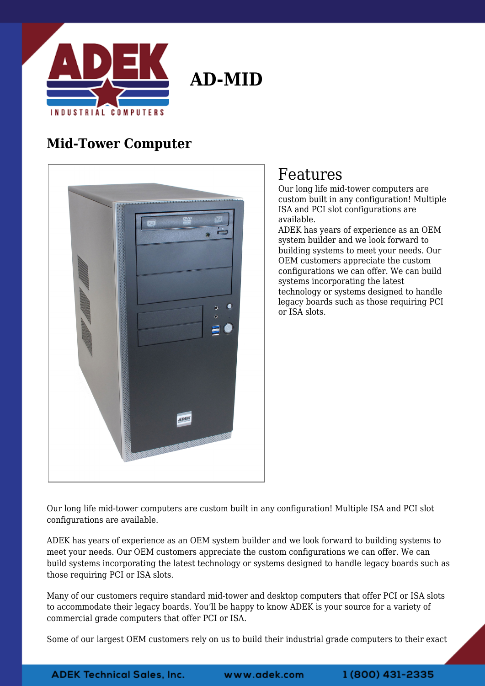

**AD-MID**

## **Mid-Tower Computer**



## Features

Our long life mid-tower computers are custom built in any configuration! Multiple ISA and PCI slot configurations are available.

ADEK has years of experience as an OEM system builder and we look forward to building systems to meet your needs. Our OEM customers appreciate the custom configurations we can offer. We can build systems incorporating the latest technology or systems designed to handle legacy boards such as those requiring PCI or ISA slots.

Our long life mid-tower computers are custom built in any configuration! Multiple ISA and PCI slot configurations are available.

ADEK has years of experience as an OEM system builder and we look forward to building systems to meet your needs. Our OEM customers appreciate the custom configurations we can offer. We can build systems incorporating the latest technology or systems designed to handle legacy boards such as those requiring PCI or ISA slots.

Many of our customers require standard mid-tower and desktop computers that offer PCI or ISA slots to accommodate their legacy boards. You'll be happy to know ADEK is your source for a variety of commercial grade computers that offer PCI or ISA.

Some of our largest OEM customers rely on us to build their industrial grade computers to their exact

www.adek.com